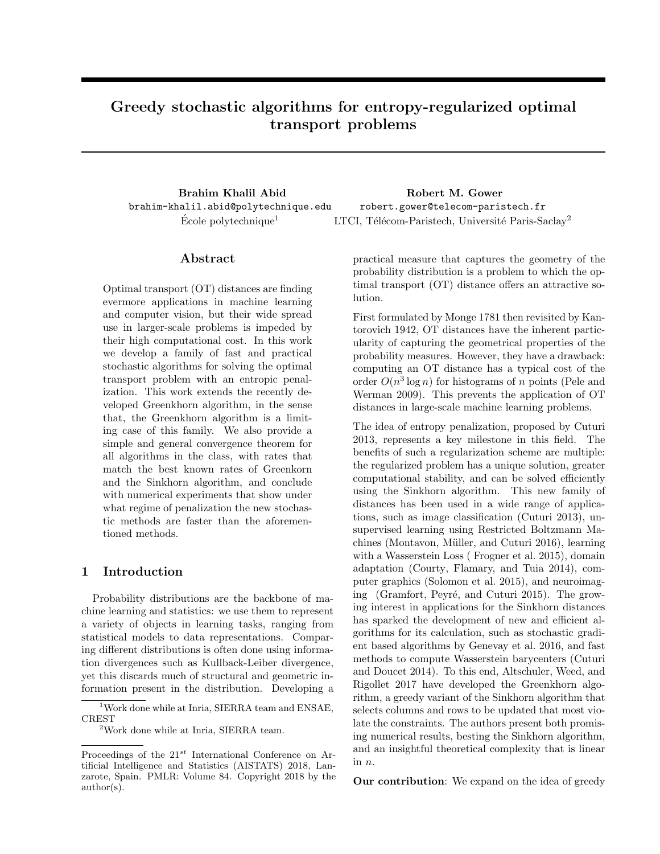# Greedy stochastic algorithms for entropy-regularized optimal transport problems

Brahim Khalil Abid brahim-khalil.abid@polytechnique.edu

Robert M. Gower robert.gower@telecom-paristech.fr  $\text{École polytechnique}^1$  1 LTCI, Télécom-Paristech, Université Paris-Saclay<sup>2</sup>

## Abstract

Optimal transport (OT) distances are finding evermore applications in machine learning and computer vision, but their wide spread use in larger-scale problems is impeded by their high computational cost. In this work we develop a family of fast and practical stochastic algorithms for solving the optimal transport problem with an entropic penalization. This work extends the recently developed Greenkhorn algorithm, in the sense that, the Greenkhorn algorithm is a limiting case of this family. We also provide a simple and general convergence theorem for all algorithms in the class, with rates that match the best known rates of Greenkorn and the Sinkhorn algorithm, and conclude with numerical experiments that show under what regime of penalization the new stochastic methods are faster than the aforementioned methods.

## 1 Introduction

Probability distributions are the backbone of machine learning and statistics: we use them to represent a variety of objects in learning tasks, ranging from statistical models to data representations. Comparing different distributions is often done using information divergences such as Kullback-Leiber divergence, yet this discards much of structural and geometric information present in the distribution. Developing a

practical measure that captures the geometry of the probability distribution is a problem to which the optimal transport (OT) distance offers an attractive solution.

First formulated by Monge 1781 then revisited by Kantorovich 1942, OT distances have the inherent particularity of capturing the geometrical properties of the probability measures. However, they have a drawback: computing an OT distance has a typical cost of the order  $O(n^3 \log n)$  for histograms of n points (Pele and Werman 2009). This prevents the application of OT distances in large-scale machine learning problems.

The idea of entropy penalization, proposed by Cuturi 2013, represents a key milestone in this field. The benefits of such a regularization scheme are multiple: the regularized problem has a unique solution, greater computational stability, and can be solved efficiently using the Sinkhorn algorithm. This new family of distances has been used in a wide range of applications, such as image classification (Cuturi 2013), unsupervised learning using Restricted Boltzmann Machines (Montavon, Müller, and Cuturi 2016), learning with a Wasserstein Loss ( Frogner et al. 2015), domain adaptation (Courty, Flamary, and Tuia 2014), computer graphics (Solomon et al. 2015), and neuroimaging (Gramfort, Peyré, and Cuturi 2015). The growing interest in applications for the Sinkhorn distances has sparked the development of new and efficient algorithms for its calculation, such as stochastic gradient based algorithms by Genevay et al. 2016, and fast methods to compute Wasserstein barycenters (Cuturi and Doucet 2014). To this end, Altschuler, Weed, and Rigollet 2017 have developed the Greenkhorn algorithm, a greedy variant of the Sinkhorn algorithm that selects columns and rows to be updated that most violate the constraints. The authors present both promising numerical results, besting the Sinkhorn algorithm, and an insightful theoretical complexity that is linear in n.

Our contribution: We expand on the idea of greedy

<sup>&</sup>lt;sup>1</sup>Work done while at Inria, SIERRA team and ENSAE, CREST

 $^{2}$  Work done while at Inria, SIERRA team.

Proceedings of the  $21^{st}$  International Conference on Artificial Intelligence and Statistics (AISTATS) 2018, Lanzarote, Spain. PMLR: Volume 84. Copyright 2018 by the author(s).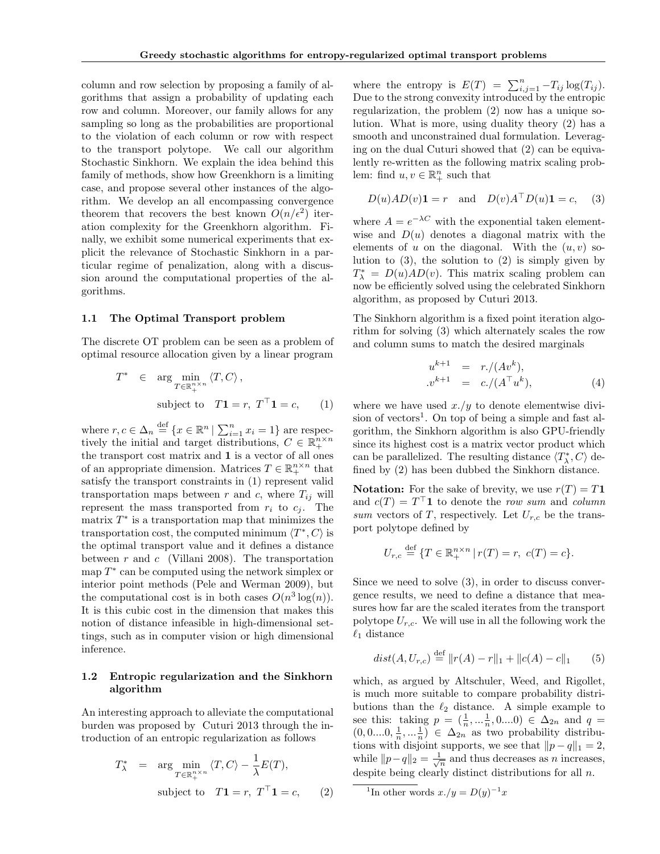column and row selection by proposing a family of algorithms that assign a probability of updating each row and column. Moreover, our family allows for any sampling so long as the probabilities are proportional to the violation of each column or row with respect to the transport polytope. We call our algorithm Stochastic Sinkhorn. We explain the idea behind this family of methods, show how Greenkhorn is a limiting case, and propose several other instances of the algorithm. We develop an all encompassing convergence theorem that recovers the best known  $O(n/\epsilon^2)$  iteration complexity for the Greenkhorn algorithm. Finally, we exhibit some numerical experiments that explicit the relevance of Stochastic Sinkhorn in a particular regime of penalization, along with a discussion around the computational properties of the algorithms.

#### 1.1 The Optimal Transport problem

The discrete OT problem can be seen as a problem of optimal resource allocation given by a linear program

$$
T^* \in \arg\min_{T \in \mathbb{R}_+^{n \times n}} \langle T, C \rangle,
$$
  
subject to 
$$
T\mathbf{1} = r, T^{\top}\mathbf{1} = c,
$$
 (1)

where  $r, c \in \Delta_n \stackrel{\text{def}}{=} \{x \in \mathbb{R}^n \mid \sum_{i=1}^n x_i = 1\}$  are respectively the initial and target distributions,  $C \in \mathbb{R}_+^{n \times n}$ the transport cost matrix and 1 is a vector of all ones of an appropriate dimension. Matrices  $T \in \mathbb{R}_+^{n \times n}$  that satisfy the transport constraints in (1) represent valid transportation maps between r and c, where  $T_{ij}$  will represent the mass transported from  $r_i$  to  $c_j$ . The matrix  $T^*$  is a transportation map that minimizes the transportation cost, the computed minimum  $\langle T^*, C \rangle$  is the optimal transport value and it defines a distance between  $r$  and  $c$  (Villani 2008). The transportation map  $T^*$  can be computed using the network simplex or interior point methods (Pele and Werman 2009), but the computational cost is in both cases  $O(n^3 \log(n))$ . It is this cubic cost in the dimension that makes this notion of distance infeasible in high-dimensional settings, such as in computer vision or high dimensional inference.

## 1.2 Entropic regularization and the Sinkhorn algorithm

An interesting approach to alleviate the computational burden was proposed by Cuturi 2013 through the introduction of an entropic regularization as follows

$$
T_{\lambda}^{*} = \arg \min_{T \in \mathbb{R}_{+}^{n \times n}} \langle T, C \rangle - \frac{1}{\lambda} E(T),
$$
  
subject to 
$$
T\mathbf{1} = r, T^{\top} \mathbf{1} = c,
$$
 (2)

where the entropy is  $E(T) = \sum_{i,j=1}^{n} -T_{ij} \log(T_{ij}).$ Due to the strong convexity introduced by the entropic regularization, the problem (2) now has a unique solution. What is more, using duality theory (2) has a smooth and unconstrained dual formulation. Leveraging on the dual Cuturi showed that (2) can be equivalently re-written as the following matrix scaling problem: find  $u, v \in \mathbb{R}^n_+$  such that

$$
D(u)AD(v)\mathbf{1} = r \quad \text{and} \quad D(v)A^{\top}D(u)\mathbf{1} = c,\tag{3}
$$

where  $A = e^{-\lambda C}$  with the exponential taken elementwise and  $D(u)$  denotes a diagonal matrix with the elements of u on the diagonal. With the  $(u, v)$  solution to  $(3)$ , the solution to  $(2)$  is simply given by  $T_{\lambda}^* = D(u)AD(v)$ . This matrix scaling problem can now be efficiently solved using the celebrated Sinkhorn algorithm, as proposed by Cuturi 2013.

The Sinkhorn algorithm is a fixed point iteration algorithm for solving (3) which alternately scales the row and column sums to match the desired marginals

$$
u^{k+1} = r./(Av^k),\n v^{k+1} = c./(A^{\top}u^k),
$$
\n(4)

where we have used  $x./y$  to denote elementwise division of vectors<sup>1</sup>. On top of being a simple and fast algorithm, the Sinkhorn algorithm is also GPU-friendly since its highest cost is a matrix vector product which can be parallelized. The resulting distance  $\langle T^*_{\lambda}, C \rangle$  defined by (2) has been dubbed the Sinkhorn distance.

**Notation:** For the sake of brevity, we use  $r(T) = T1$ and  $c(T) = T^{\top} \mathbf{1}$  to denote the row sum and column sum vectors of T, respectively. Let  $U_{r,c}$  be the transport polytope defined by

$$
U_{r,c} \stackrel{\text{def}}{=} \{T \in \mathbb{R}_+^{n \times n} \mid r(T) = r, \ c(T) = c\}.
$$

Since we need to solve (3), in order to discuss convergence results, we need to define a distance that measures how far are the scaled iterates from the transport polytope  $U_{r,c}$ . We will use in all the following work the  $\ell_1$  distance

$$
dist(A, U_{r,c}) \stackrel{\text{def}}{=} ||r(A) - r||_1 + ||c(A) - c||_1 \qquad (5)
$$

which, as argued by Altschuler, Weed, and Rigollet, is much more suitable to compare probability distributions than the  $\ell_2$  distance. A simple example to see this: taking  $p = (\frac{1}{n}, \dots, \frac{1}{n}, 0 \dots 0) \in \Delta_{2n}$  and  $q =$  $(0, 0, \ldots, 0, \frac{1}{n}, \ldots, \frac{1}{n}) \in \Delta_{2n}$  as two probability distributions with disjoint supports, we see that  $||p - q||_1 = 2$ , while  $||p-q||_2 = \frac{1}{\sqrt{n}}$  and thus decreases as *n* increases, despite being clearly distinct distributions for all n.

<sup>&</sup>lt;sup>1</sup>In other words  $x./y = D(y)^{-1}x$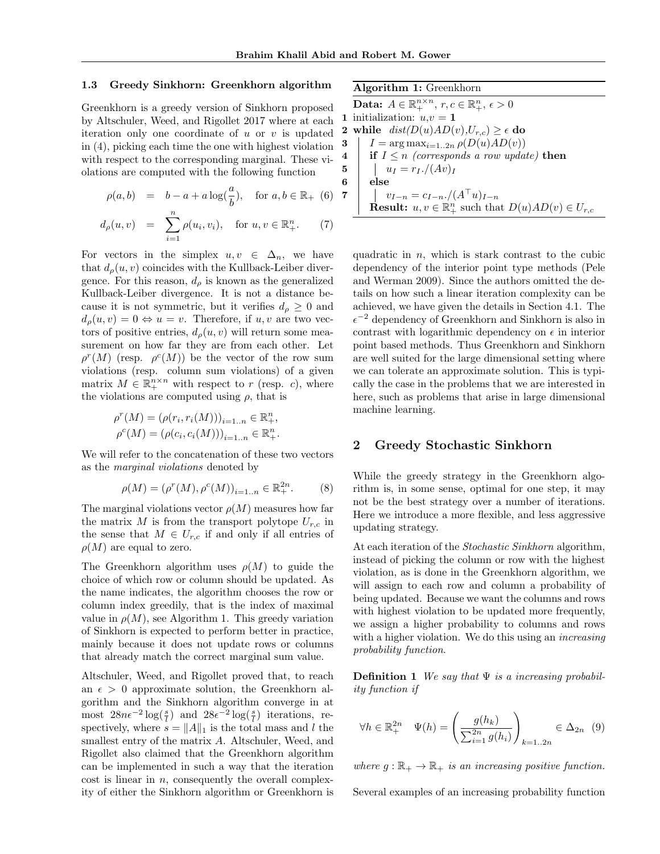#### 1.3 Greedy Sinkhorn: Greenkhorn algorithm

Greenkhorn is a greedy version of Sinkhorn proposed by Altschuler, Weed, and Rigollet 2017 where at each iteration only one coordinate of  $u$  or  $v$  is updated in (4), picking each time the one with highest violation with respect to the corresponding marginal. These violations are computed with the following function

$$
\rho(a, b) = b - a + a \log(\frac{a}{b}), \text{ for } a, b \in \mathbb{R}_+ \tag{6}
$$

$$
d_{\rho}(u, v) = \sum_{i=1}^{n} \rho(u_i, v_i), \text{ for } u, v \in \mathbb{R}_+^n. \tag{7}
$$

For vectors in the simplex  $u, v \in \Delta_n$ , we have that  $d_{\rho}(u, v)$  coincides with the Kullback-Leiber divergence. For this reason,  $d<sub>o</sub>$  is known as the generalized Kullback-Leiber divergence. It is not a distance because it is not symmetric, but it verifies  $d_{\rho} \geq 0$  and  $d_{\rho}(u, v) = 0 \Leftrightarrow u = v$ . Therefore, if  $u, v$  are two vectors of positive entries,  $d_{\rho}(u, v)$  will return some measurement on how far they are from each other. Let  $\rho^r(M)$  (resp.  $\rho^c(M)$ ) be the vector of the row sum violations (resp. column sum violations) of a given matrix  $M \in \mathbb{R}_+^{n \times n}$  with respect to r (resp. c), where the violations are computed using  $\rho$ , that is

$$
\rho^{r}(M) = (\rho(r_i, r_i(M)))_{i=1..n} \in \mathbb{R}^n_+,
$$
  

$$
\rho^{c}(M) = (\rho(c_i, c_i(M)))_{i=1..n} \in \mathbb{R}^n_+.
$$

We will refer to the concatenation of these two vectors as the marginal violations denoted by

$$
\rho(M) = (\rho^r(M), \rho^c(M))_{i=1..n} \in \mathbb{R}_+^{2n}.
$$
 (8)

The marginal violations vector  $\rho(M)$  measures how far the matrix  $M$  is from the transport polytope  $U_{r,c}$  in the sense that  $M \in U_{r,c}$  if and only if all entries of  $\rho(M)$  are equal to zero.

The Greenkhorn algorithm uses  $\rho(M)$  to guide the choice of which row or column should be updated. As the name indicates, the algorithm chooses the row or column index greedily, that is the index of maximal value in  $\rho(M)$ , see Algorithm 1. This greedy variation of Sinkhorn is expected to perform better in practice, mainly because it does not update rows or columns that already match the correct marginal sum value.

Altschuler, Weed, and Rigollet proved that, to reach an  $\epsilon > 0$  approximate solution, the Greenkhorn algorithm and the Sinkhorn algorithm converge in at most  $28n\epsilon^{-2}\log(\frac{s}{l})$  and  $28\epsilon^{-2}\log(\frac{s}{l})$  iterations, respectively, where  $s = ||A||_1$  is the total mass and l the smallest entry of the matrix A. Altschuler, Weed, and Rigollet also claimed that the Greenkhorn algorithm can be implemented in such a way that the iteration  $\cot$  is linear in n, consequently the overall complexity of either the Sinkhorn algorithm or Greenkhorn is Algorithm 1: Greenkhorn

Data:  $A \in \mathbb{R}_+^{n \times n}$ ,  $r, c \in \mathbb{R}_+^n$ ,  $\epsilon > 0$ 1 initialization:  $u,v = 1$ 2 while  $dist(D(u)AD(v),U_{r,c}) \geq \epsilon$  do 3 |  $I = \arg \max_{i=1..2n} \rho(D(u)AD(v))$ 4 if  $I \leq n$  (corresponds a row update) then 5  $u_I = r_I.(Av)_I$ 6 else 7 |  $v_{I-n} = c_{I-n}$ .  $/(A^{\top}u)_{I-n}$ **Result:**  $u, v \in \mathbb{R}^n_+$  such that  $D(u)AD(v) \in U_{r,c}$ 

quadratic in  $n$ , which is stark contrast to the cubic dependency of the interior point type methods (Pele and Werman 2009). Since the authors omitted the details on how such a linear iteration complexity can be achieved, we have given the details in Section 4.1. The  $\epsilon^{-2}$  dependency of Greenkhorn and Sinkhorn is also in contrast with logarithmic dependency on  $\epsilon$  in interior point based methods. Thus Greenkhorn and Sinkhorn are well suited for the large dimensional setting where we can tolerate an approximate solution. This is typically the case in the problems that we are interested in here, such as problems that arise in large dimensional machine learning.

## 2 Greedy Stochastic Sinkhorn

While the greedy strategy in the Greenkhorn algorithm is, in some sense, optimal for one step, it may not be the best strategy over a number of iterations. Here we introduce a more flexible, and less aggressive updating strategy.

At each iteration of the *Stochastic Sinkhorn* algorithm, instead of picking the column or row with the highest violation, as is done in the Greenkhorn algorithm, we will assign to each row and column a probability of being updated. Because we want the columns and rows with highest violation to be updated more frequently, we assign a higher probability to columns and rows with a higher violation. We do this using an *increasing* probability function.

**Definition 1** We say that  $\Psi$  is a increasing probability function if

$$
\forall h \in \mathbb{R}_+^{2n} \quad \Psi(h) = \left(\frac{g(h_k)}{\sum_{i=1}^{2n} g(h_i)}\right)_{k=1..2n} \in \Delta_{2n} \quad (9)
$$

where  $g : \mathbb{R}_+ \to \mathbb{R}_+$  is an increasing positive function.

Several examples of an increasing probability function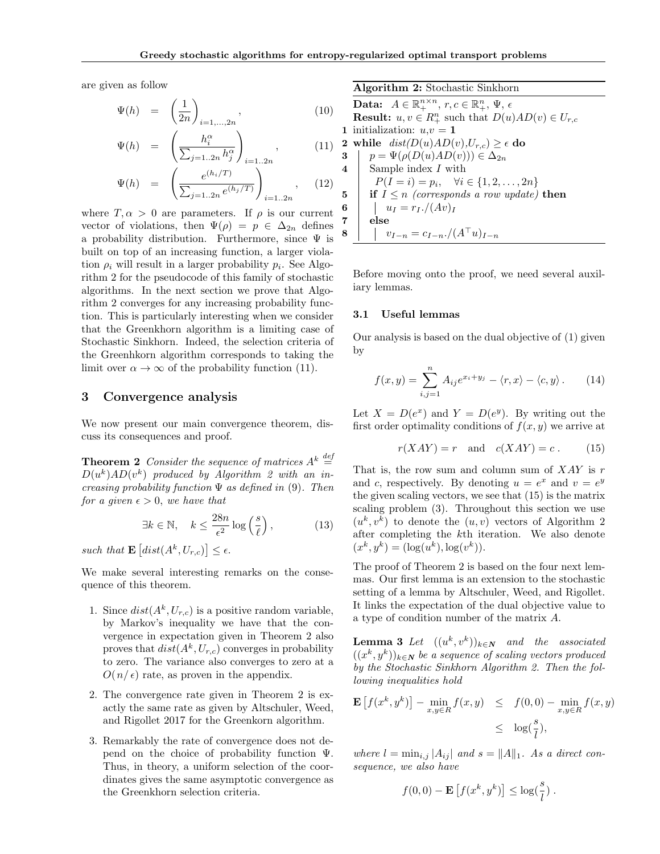are given as follow

$$
\Psi(h) = \left(\frac{1}{2n}\right)_{i=1,\ldots,2n},\tag{10}
$$

$$
\Psi(h) = \left(\frac{h_i^{\alpha}}{\sum_{j=1..2n} h_j^{\alpha}}\right)_{i=1..2n}, \quad (11)
$$

$$
\Psi(h) = \left( \frac{e^{(h_i/T)}}{\sum_{j=1..2n} e^{(h_j/T)}} \right)_{i=1..2n}, \quad (12)
$$

where  $T, \alpha > 0$  are parameters. If  $\rho$  is our current vector of violations, then  $\Psi(\rho) = p \in \Delta_{2n}$  defines a probability distribution. Furthermore, since  $\Psi$  is built on top of an increasing function, a larger violation  $\rho_i$  will result in a larger probability  $p_i$ . See Algorithm 2 for the pseudocode of this family of stochastic algorithms. In the next section we prove that Algorithm 2 converges for any increasing probability function. This is particularly interesting when we consider that the Greenkhorn algorithm is a limiting case of Stochastic Sinkhorn. Indeed, the selection criteria of the Greenhkorn algorithm corresponds to taking the limit over  $\alpha \to \infty$  of the probability function (11).

## 3 Convergence analysis

We now present our main convergence theorem, discuss its consequences and proof.

**Theorem 2** Consider the sequence of matrices  $A^k \stackrel{def}{=}$  $D(u^k)AD(v^k)$  produced by Algorithm 2 with an increasing probability function  $\Psi$  as defined in (9). Then for a given  $\epsilon > 0$ , we have that

$$
\exists k \in \mathbb{N}, \quad k \le \frac{28n}{\epsilon^2} \log \left(\frac{s}{\ell}\right), \tag{13}
$$

such that  $\mathbf{E}\left[dist(A^k, U_{r,c})\right] \leq \epsilon$ .

We make several interesting remarks on the consequence of this theorem.

- 1. Since  $dist(A^k, U_{r,c})$  is a positive random variable, by Markov's inequality we have that the convergence in expectation given in Theorem 2 also proves that  $dist(A^k, U_{r,c})$  converges in probability to zero. The variance also converges to zero at a  $O(n/\epsilon)$  rate, as proven in the appendix.
- 2. The convergence rate given in Theorem 2 is exactly the same rate as given by Altschuler, Weed, and Rigollet 2017 for the Greenkorn algorithm.
- 3. Remarkably the rate of convergence does not depend on the choice of probability function  $\Psi$ . Thus, in theory, a uniform selection of the coordinates gives the same asymptotic convergence as the Greenkhorn selection criteria.

Algorithm 2: Stochastic Sinkhorn Data:  $A \in \mathbb{R}_+^{n \times n}$ ,  $r, c \in \mathbb{R}_+^n$ ,  $\Psi$ ,  $\epsilon$ **Result:**  $u, v \in R_+^n$  such that  $D(u)AD(v) \in U_{r,c}$ 1 initialization:  $u,v = 1$ 2 while  $dist(D(u)AD(v),U_{r,c}) \geq \epsilon$  do 3  $p = \Psi(\rho(D(u)AD(v))) \in \Delta_{2n}$ 4 Sample index I with  $P(I = i) = p_i, \quad \forall i \in \{1, 2, ..., 2n\}$ 5 if  $I \leq n$  (corresponds a row update) then 6  $u_I = r_I$ ./(Av)<sub>I</sub> 7 else 8 |  $v_{I-n} = c_{I-n} \cdot / (A^{\top} u)_{I-n}$ 

Before moving onto the proof, we need several auxiliary lemmas.

### 3.1 Useful lemmas

Our analysis is based on the dual objective of (1) given by

$$
f(x,y) = \sum_{i,j=1}^{n} A_{ij} e^{x_i + y_j} - \langle r, x \rangle - \langle c, y \rangle.
$$
 (14)

Let  $X = D(e^x)$  and  $Y = D(e^y)$ . By writing out the first order optimality conditions of  $f(x, y)$  we arrive at

$$
r(XAY) = r \quad \text{and} \quad c(XAY) = c \,. \tag{15}
$$

That is, the row sum and column sum of  $XAY$  is r and c, respectively. By denoting  $u = e^x$  and  $v = e^y$ the given scaling vectors, we see that (15) is the matrix scaling problem (3). Throughout this section we use  $(u^k, v^k)$  to denote the  $(u, v)$  vectors of Algorithm 2 after completing the kth iteration. We also denote  $(x^{k}, y^{k}) = (\log(u^{k}), \log(v^{k})).$ 

The proof of Theorem 2 is based on the four next lemmas. Our first lemma is an extension to the stochastic setting of a lemma by Altschuler, Weed, and Rigollet. It links the expectation of the dual objective value to a type of condition number of the matrix A.

**Lemma 3** Let  $((u^k, v^k))_{k \in \mathbb{N}}$  and the associated  $((x^k, y^k))_{k\in \mathbf{N}}$  be a sequence of scaling vectors produced by the Stochastic Sinkhorn Algorithm 2. Then the following inequalities hold

$$
\mathbf{E}\left[f(x^k, y^k)\right] - \min_{x, y \in R} f(x, y) \leq f(0, 0) - \min_{x, y \in R} f(x, y)
$$
  

$$
\leq \log(\frac{s}{l}),
$$

where  $l = \min_{i,j} |A_{ij}|$  and  $s = ||A||_1$ . As a direct consequence, we also have

$$
f(0,0) - \mathbf{E}\left[f(x^k, y^k)\right] \leq \log(\frac{s}{l}).
$$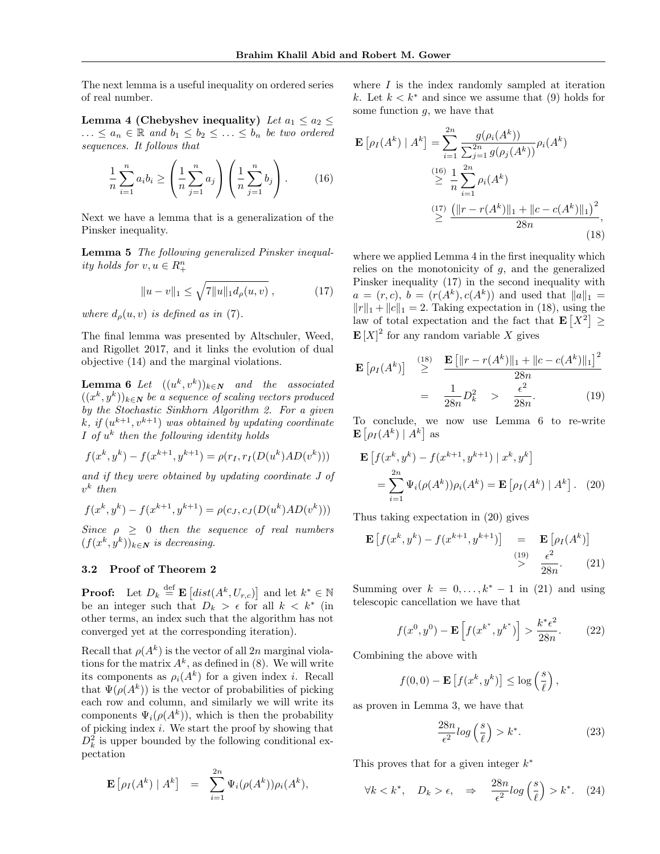The next lemma is a useful inequality on ordered series of real number.

Lemma 4 (Chebyshev inequality) Let  $a_1 \le a_2 \le$  $\ldots \le a_n \in \mathbb{R}$  and  $b_1 \le b_2 \le \ldots \le b_n$  be two ordered sequences. It follows that

$$
\frac{1}{n}\sum_{i=1}^{n}a_{i}b_{i} \ge \left(\frac{1}{n}\sum_{j=1}^{n}a_{j}\right)\left(\frac{1}{n}\sum_{j=1}^{n}b_{j}\right). \qquad (16)
$$

Next we have a lemma that is a generalization of the Pinsker inequality.

Lemma 5 The following generalized Pinsker inequality holds for  $v, u \in R_+^n$ 

$$
||u - v||_1 \le \sqrt{7||u||_1 d_\rho(u, v)}, \qquad (17)
$$

where  $d<sub>o</sub>(u, v)$  is defined as in (7).

The final lemma was presented by Altschuler, Weed, and Rigollet 2017, and it links the evolution of dual objective (14) and the marginal violations.

**Lemma 6** Let  $((u^k, v^k))_{k \in \mathbb{N}}$  and the associated  $((x^k, y^k))_{k\in \mathbf{N}}$  be a sequence of scaling vectors produced by the Stochastic Sinkhorn Algorithm 2. For a given k, if  $(u^{k+1}, v^{k+1})$  was obtained by updating coordinate  $I$  of  $u^k$  then the following identity holds

$$
f(x^{k}, y^{k}) - f(x^{k+1}, y^{k+1}) = \rho(r_{I}, r_{I}(D(u^{k})AD(v^{k})))
$$

and if they were obtained by updating coordinate J of  $v^k$  then

$$
f(x^{k}, y^{k}) - f(x^{k+1}, y^{k+1}) = \rho(c_J, c_J(D(u^{k})AD(v^{k})))
$$

Since  $\rho > 0$  then the sequence of real numbers  $(f(x^k, y^k))_{k \in \mathbb{N}}$  is decreasing.

## 3.2 Proof of Theorem 2

**Proof:** Let  $D_k \stackrel{\text{def}}{=} \mathbf{E} \left[ dist(A^k, U_{r,c}) \right]$  and let  $k^* \in \mathbb{N}$ be an integer such that  $D_k > \epsilon$  for all  $k < k^*$  (in other terms, an index such that the algorithm has not converged yet at the corresponding iteration).

Recall that  $\rho(A^k)$  is the vector of all 2n marginal violations for the matrix  $A^k$ , as defined in (8). We will write its components as  $\rho_i(A^k)$  for a given index *i*. Recall that  $\Psi(\rho(A^k))$  is the vector of probabilities of picking each row and column, and similarly we will write its components  $\Psi_i(\rho(A^k))$ , which is then the probability of picking index i. We start the proof by showing that  $D_k^2$  is upper bounded by the following conditional expectation

$$
\mathbf{E}\left[\rho_I(A^k) \mid A^k\right] = \sum_{i=1}^{2n} \Psi_i(\rho(A^k)) \rho_i(A^k),
$$

where  $I$  is the index randomly sampled at iteration k. Let  $k < k^*$  and since we assume that (9) holds for some function  $q$ , we have that

$$
\mathbf{E}\left[\rho_I(A^k) \mid A^k\right] = \sum_{i=1}^{2n} \frac{g(\rho_i(A^k))}{\sum_{j=1}^{2n} g(\rho_j(A^k))} \rho_i(A^k)
$$
  

$$
\geq \frac{1}{n} \sum_{i=1}^{2n} \rho_i(A^k)
$$
  

$$
\geq \frac{(\frac{17}{n}) \left(\frac{||r - r(A^k)||_1 + ||c - c(A^k)||_1\right)^2}{28n},
$$
  
(18)

where we applied Lemma 4 in the first inequality which relies on the monotonicity of  $g$ , and the generalized Pinsker inequality (17) in the second inequality with  $a = (r, c), b = (r(A^k), c(A^k))$  and used that  $||a||_1 =$  $||r||_1 + ||c||_1 = 2$ . Taking expectation in (18), using the law of total expectation and the fact that  $\mathbf{E}[X^2] \geq$  $\mathbf{E}[X]^2$  for any random variable X gives

$$
\mathbf{E}\left[\rho_I(A^k)\right] \stackrel{(18)}{\geq} \frac{\mathbf{E}\left[\|r - r(A^k)\|_1 + \|c - c(A^k)\|_1\right]^2}{28n} = \frac{1}{28n}D_k^2 \geq \frac{\epsilon^2}{28n}.
$$
 (19)

To conclude, we now use Lemma 6 to re-write  $\mathbf{E}\left[ \rho_I(A^k) \mid A^k \right]$  as

$$
\mathbf{E}\left[f(x^k, y^k) - f(x^{k+1}, y^{k+1}) \mid x^k, y^k\right] \\
= \sum_{i=1}^{2n} \Psi_i(\rho(A^k)) \rho_i(A^k) = \mathbf{E}\left[\rho_I(A^k) \mid A^k\right].
$$
 (20)

Thus taking expectation in (20) gives

$$
\mathbf{E}\left[f(x^k, y^k) - f(x^{k+1}, y^{k+1})\right] = \mathbf{E}\left[\rho_I(A^k)\right]
$$
  
\n
$$
\stackrel{(19)}{>} \frac{\epsilon^2}{28n}.
$$
 (21)

Summing over  $k = 0, \ldots, k^* - 1$  in (21) and using telescopic cancellation we have that

$$
f(x^{0}, y^{0}) - \mathbf{E}\left[f(x^{k^*}, y^{k^*})\right] > \frac{k^* \epsilon^2}{28n}.
$$
 (22)

Combining the above with

$$
f(0,0) - \mathbf{E}\left[f(x^k, y^k)\right] \leq \log\left(\frac{s}{\ell}\right),
$$

as proven in Lemma 3, we have that

$$
\frac{28n}{\epsilon^2} \log\left(\frac{s}{\ell}\right) > k^*.\tag{23}
$$

This proves that for a given integer  $k^*$ 

$$
\forall k < k^*, \quad D_k > \epsilon, \quad \Rightarrow \quad \frac{28n}{\epsilon^2} \log\left(\frac{s}{\ell}\right) > k^*.\tag{24}
$$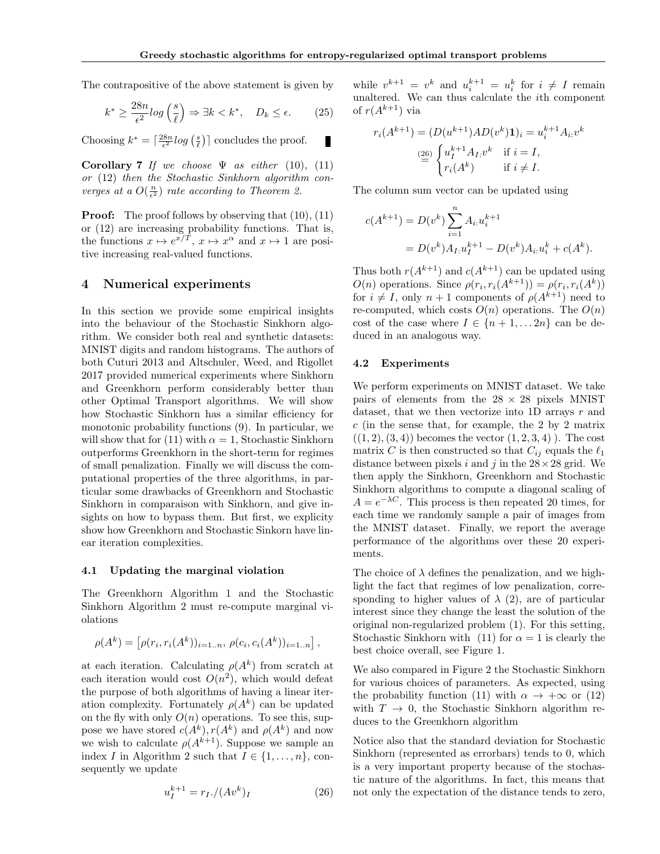The contrapositive of the above statement is given by

$$
k^* \ge \frac{28n}{\epsilon^2} \log\left(\frac{s}{\ell}\right) \Rightarrow \exists k < k^*, \quad D_k \le \epsilon. \tag{25}
$$

Choosing  $k^* = \lceil \frac{28n}{\epsilon^2} \log\left(\frac{s}{\ell}\right) \rceil$  concludes the proof. П

Corollary 7 If we choose  $\Psi$  as either (10), (11) or (12) then the Stochastic Sinkhorn algorithm converges at a  $O(\frac{n}{\epsilon^2})$  rate according to Theorem 2.

**Proof:** The proof follows by observing that  $(10)$ ,  $(11)$ or (12) are increasing probability functions. That is, the functions  $x \mapsto e^{x/T}$ ,  $x \mapsto x^{\alpha}$  and  $x \mapsto 1$  are positive increasing real-valued functions.

## 4 Numerical experiments

In this section we provide some empirical insights into the behaviour of the Stochastic Sinkhorn algorithm. We consider both real and synthetic datasets: MNIST digits and random histograms. The authors of both Cuturi 2013 and Altschuler, Weed, and Rigollet 2017 provided numerical experiments where Sinkhorn and Greenkhorn perform considerably better than other Optimal Transport algorithms. We will show how Stochastic Sinkhorn has a similar efficiency for monotonic probability functions (9). In particular, we will show that for (11) with  $\alpha = 1$ , Stochastic Sinkhorn outperforms Greenkhorn in the short-term for regimes of small penalization. Finally we will discuss the computational properties of the three algorithms, in particular some drawbacks of Greenkhorn and Stochastic Sinkhorn in comparaison with Sinkhorn, and give insights on how to bypass them. But first, we explicity show how Greenkhorn and Stochastic Sinkorn have linear iteration complexities.

#### 4.1 Updating the marginal violation

The Greenkhorn Algorithm 1 and the Stochastic Sinkhorn Algorithm 2 must re-compute marginal violations

$$
\rho(A^k) = [\rho(r_i, r_i(A^k))_{i=1..n}, \rho(c_i, c_i(A^k))_{i=1..n}],
$$

at each iteration. Calculating  $\rho(A^k)$  from scratch at each iteration would cost  $O(n^2)$ , which would defeat the purpose of both algorithms of having a linear iteration complexity. Fortunately  $\rho(A^k)$  can be updated on the fly with only  $O(n)$  operations. To see this, suppose we have stored  $c(A^k)$ ,  $r(A^k)$  and  $\rho(A^k)$  and now we wish to calculate  $\rho(A^{k+1})$ . Suppose we sample an index I in Algorithm 2 such that  $I \in \{1, \ldots, n\}$ , consequently we update

$$
u_I^{k+1} = r_I. / (Av^k)_I \tag{26}
$$

while  $v^{k+1} = v^k$  and  $u_i^{k+1} = u_i^k$  for  $i \neq I$  remain unaltered. We can thus calculate the ith component of  $r(A^{k+1})$  via

$$
r_i(A^{k+1}) = (D(u^{k+1})AD(v^k)\mathbf{1})_i = u_i^{k+1}A_i v^k
$$

$$
\stackrel{(26)}{=} \begin{cases} u_I^{k+1}A_I v^k & \text{if } i = I, \\ r_i(A^k) & \text{if } i \neq I. \end{cases}
$$

The column sum vector can be updated using

$$
c(A^{k+1}) = D(v^k) \sum_{i=1}^n A_{i:} u_i^{k+1}
$$
  
= 
$$
D(v^k) A_{I:} u_I^{k+1} - D(v^k) A_{i:} u_i^k + c(A^k).
$$

Thus both  $r(A^{k+1})$  and  $c(A^{k+1})$  can be updated using  $O(n)$  operations. Since  $\rho(r_i, r_i(A^{k+1})) = \rho(r_i, r_i(A^k))$ for  $i \neq I$ , only  $n + 1$  components of  $\rho(A^{k+1})$  need to re-computed, which costs  $O(n)$  operations. The  $O(n)$ cost of the case where  $I \in \{n+1, \ldots 2n\}$  can be deduced in an analogous way.

#### 4.2 Experiments

We perform experiments on MNIST dataset. We take pairs of elements from the  $28 \times 28$  pixels MNIST dataset, that we then vectorize into 1D arrays r and  $c$  (in the sense that, for example, the 2 by 2 matrix  $((1, 2), (3, 4))$  becomes the vector  $(1, 2, 3, 4)$ . The cost matrix C is then constructed so that  $C_{ij}$  equals the  $\ell_1$ distance between pixels i and j in the  $28 \times 28$  grid. We then apply the Sinkhorn, Greenkhorn and Stochastic Sinkhorn algorithms to compute a diagonal scaling of  $A = e^{-\lambda C}$ . This process is then repeated 20 times, for each time we randomly sample a pair of images from the MNIST dataset. Finally, we report the average performance of the algorithms over these 20 experiments.

The choice of  $\lambda$  defines the penalization, and we highlight the fact that regimes of low penalization, corresponding to higher values of  $\lambda$  (2), are of particular interest since they change the least the solution of the original non-regularized problem (1). For this setting, Stochastic Sinkhorn with (11) for  $\alpha = 1$  is clearly the best choice overall, see Figure 1.

We also compared in Figure 2 the Stochastic Sinkhorn for various choices of parameters. As expected, using the probability function (11) with  $\alpha \to +\infty$  or (12) with  $T \to 0$ , the Stochastic Sinkhorn algorithm reduces to the Greenkhorn algorithm

Notice also that the standard deviation for Stochastic Sinkhorn (represented as errorbars) tends to 0, which is a very important property because of the stochastic nature of the algorithms. In fact, this means that not only the expectation of the distance tends to zero,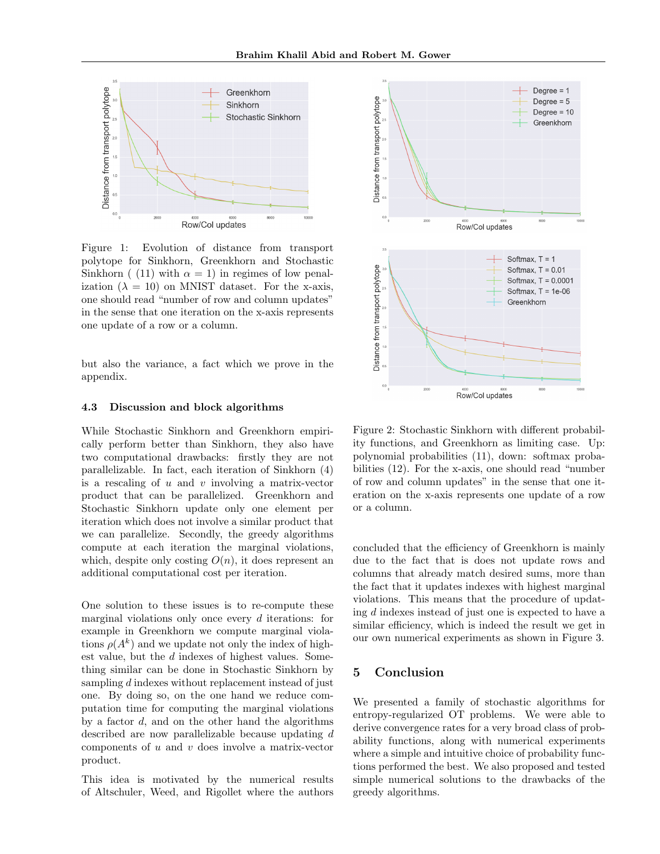

Figure 1: Evolution of distance from transport polytope for Sinkhorn, Greenkhorn and Stochastic Sinkhorn ( (11) with  $\alpha = 1$ ) in regimes of low penalization  $(\lambda = 10)$  on MNIST dataset. For the x-axis, one should read "number of row and column updates" in the sense that one iteration on the x-axis represents one update of a row or a column.

but also the variance, a fact which we prove in the appendix.

#### 4.3 Discussion and block algorithms

While Stochastic Sinkhorn and Greenkhorn empirically perform better than Sinkhorn, they also have two computational drawbacks: firstly they are not parallelizable. In fact, each iteration of Sinkhorn (4) is a rescaling of  $u$  and  $v$  involving a matrix-vector product that can be parallelized. Greenkhorn and Stochastic Sinkhorn update only one element per iteration which does not involve a similar product that we can parallelize. Secondly, the greedy algorithms compute at each iteration the marginal violations, which, despite only costing  $O(n)$ , it does represent an additional computational cost per iteration.

One solution to these issues is to re-compute these marginal violations only once every d iterations: for example in Greenkhorn we compute marginal violations  $\rho(A^k)$  and we update not only the index of highest value, but the d indexes of highest values. Something similar can be done in Stochastic Sinkhorn by sampling d indexes without replacement instead of just one. By doing so, on the one hand we reduce computation time for computing the marginal violations by a factor  $d$ , and on the other hand the algorithms described are now parallelizable because updating d components of  $u$  and  $v$  does involve a matrix-vector product.

This idea is motivated by the numerical results of Altschuler, Weed, and Rigollet where the authors



Figure 2: Stochastic Sinkhorn with different probability functions, and Greenkhorn as limiting case. Up: polynomial probabilities (11), down: softmax probabilities (12). For the x-axis, one should read "number of row and column updates" in the sense that one iteration on the x-axis represents one update of a row or a column.

concluded that the efficiency of Greenkhorn is mainly due to the fact that is does not update rows and columns that already match desired sums, more than the fact that it updates indexes with highest marginal violations. This means that the procedure of updating d indexes instead of just one is expected to have a similar efficiency, which is indeed the result we get in our own numerical experiments as shown in Figure 3.

## 5 Conclusion

We presented a family of stochastic algorithms for entropy-regularized OT problems. We were able to derive convergence rates for a very broad class of probability functions, along with numerical experiments where a simple and intuitive choice of probability functions performed the best. We also proposed and tested simple numerical solutions to the drawbacks of the greedy algorithms.